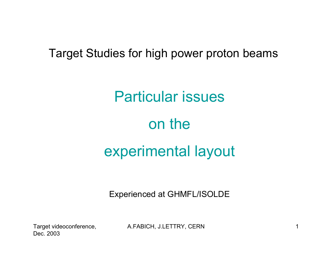Target Studies for high power proton beams

# Particular issueson the experimental layout

Experienced at GHMFL/ISOLDE

Target videoconference, Dec. 2003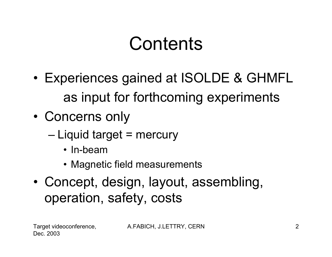# **Contents**

- • Experiences gained at ISOLDE & GHMFL as input for forthcoming experiments
- • Concerns only
	- –– Liquid target = mercury
		- In-beam
		- Magnetic field measurements
- • Concept, design, layout, assembling, operation, safety, costs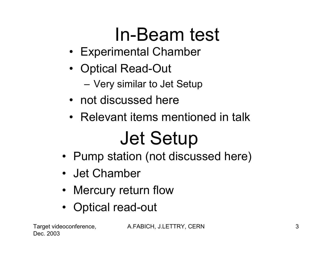# In-Beam test

- Experimental Chamber
- Optical Read-Out
	- –Very similar to Jet Setup
- not discussed here
- Relevant items mentioned in talk

# Jet Setup

- Pump station (not discussed here)
- Jet Chamber
- Mercury return flow
- Optical read-out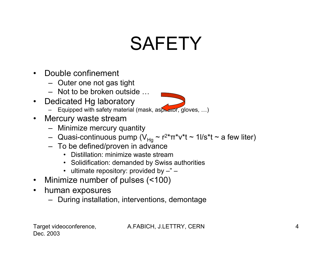# **SAFETY**

- • Double confinement
	- Outer one not gas tight
	- Not to be broken outside …
- $\bullet$  Dedicated Hg laboratory
	- Equipped with safety material (mask, asp<sub>inato</sub>r, gloves, …)
- $\bullet$  Mercury waste stream
	- Minimize mercury quantity
	- –– Quasi-continuous pump (V<sub>Hg</sub> ~ r<sup>2</sup>\*π\*v\*t ~ 1l/s\*t ~ a few liter)
	- To be defined/proven in advance
		- Distillation: minimize waste stream
		- Solidification: demanded by Swiss authorities
		- ultimate repository: provided by  $-$ " –
- Minimize number of pulses (<100)
- • human exposures
	- During installation, interventions, demontage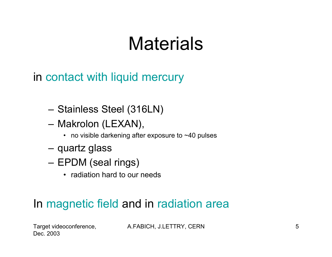# **Materials**

in contact with liquid mercury

- –– Stainless Steel (316LN)
- –– Makrolon (LEXAN),
	- no visible darkening after exposure to ~40 pulses
- –– quartz glass
- –– EPDM (seal rings)
	- radiation hard to our needs

#### In magnetic field and in radiation area

Target videoconference, Dec. 2003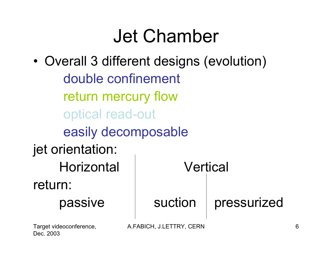## Jet Chamber

• Overall 3 different designs (evolution) double confinement return mercury flow optical read-out easily decomposable jet orientation: Horizontal Vertical return: passive | suction | pressurized

Target videoconference, Dec. 2003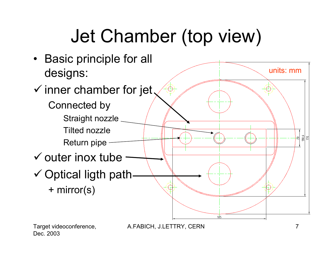# Jet Chamber (top view)

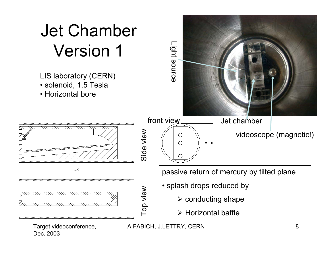

LIS laboratory (CERN)

- solenoid, 1.5 Tesla
- Horizontal bore

Light source Light source

> $\left(\right)$ ◯





Jet chamber

videoscope (magnetic!)

passive return of mercury by tilted plane

- splash drops reduced by
	- $\triangleright$  conducting shape
	- $\triangleright$  Horizontal baffle

A.FABICH, J.LETTRY, CERN 8

Target videoconference, Dec. 2003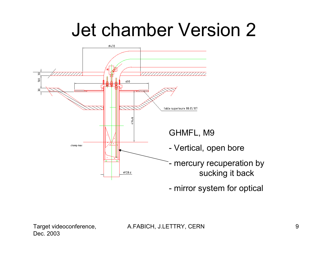## Jet chamber Version 2

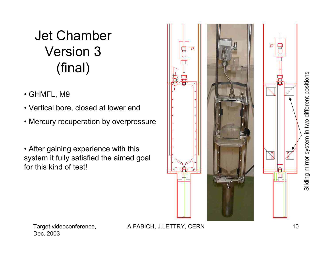# Sliding mirror system in two different positions Sliding mirror system in two different positions

### Jet Chamber Version 3 (final)

- GHMFL, M9
- Vertical bore, closed at lower end
- Mercury recuperation by overpressure
- After gaining experience with this system it fully satisfied the aimed goal for this kind of test!



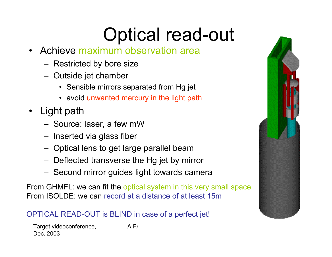# Optical read-out

- Achieve maximum observation area
	- – $-$  Restricted by bore size
	- – Outside jet chamber
		- Sensible mirrors separated from Hg jet
		- avoid unwanted mercury in the light path
- • Light path
	- Source: laser, a few mW
	- –– Inserted via glass fiber
	- – $-$  Optical lens to get large parallel beam
	- – $\hbox{--}$  Deflected transverse the Hg jet by mirror
	- – $-$  Second mirror guides light towards camera

From GHMFL: we can fit the optical system in this very small space From ISOLDE: we can record at a distance of at least 15m

 $A.F$ 

#### OPTICAL READ-OUT is BLIND in case of a perfect jet!

Target videoconference, Dec. 2003

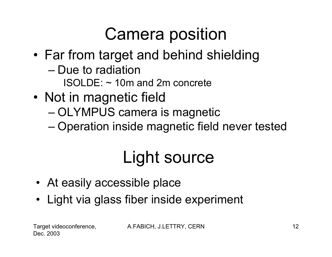## Camera position

- • Far from target and behind shielding – Due to radiation ISOLDE: ~ 10m and 2m concrete
- •• Not in magnetic field – OLYMPUS camera is magnetic –Operation inside magnetic field never tested

## Light source

- At easily accessible place
- Light via glass fiber inside experiment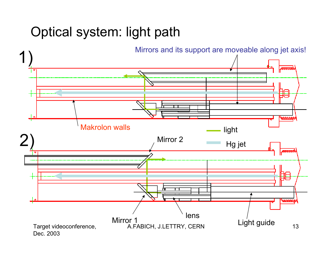#### Optical system: light path

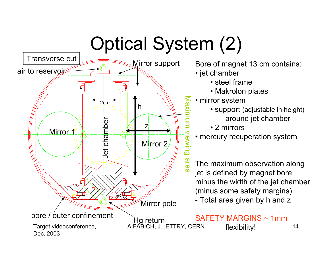# Optical System (2)



Bore of magnet 13 cm contains:

- jet chamber
	- steel frame
	- $\bullet$  Makrolon plates
- mirror system
	- support (adjustable in height) around jet chamber
	- 2 mirrors
- mercury recuperation system

The maximum observation along jet is defined by magnet bore minus the width of the jet chamber (minus some safety margins) - Total area given by h and z

A.FABICH, J.LETTRY, CERN flexibility 14 SAFETY MARGINS ~ 1mmflexibility!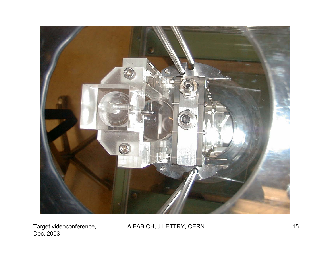

Target videoconference, Dec. 2003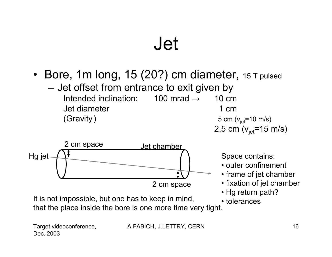# Jet

- Bore, 1m long, 15 (20?) cm diameter, 15 T pulsed
	- –– Jet offset from entrance to exit given by

Intended inclination:  $100 \text{ mrad} \rightarrow$  10 cm Jet diameter 1 cm $(Gravity)$  5 cm  $(v_{jet}=10 \text{ m/s})$ 2.5 cm ( $v_{jet}$ =15 m/s)



Space contains:

- outer confinement
- frame of jet chamber
- fixation of jet chamber
- Hg return path?
- tolerances

It is not impossible, but one has to keep in mind, that the place inside the bore is one more time very tight.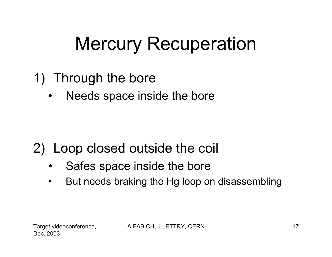# Mercury Recuperation

- 1) Through the bore
	- •Needs space inside the bore

- 2) Loop closed outside the coil
	- $\bullet$ Safes space inside the bore
	- •But needs braking the Hg loop on disassembling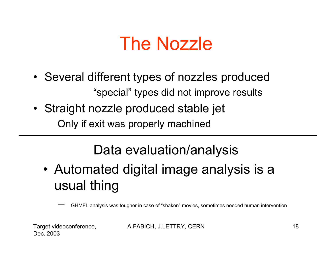## The Nozzle

- Several different types of nozzles produced "special" types did not improve results
- Straight nozzle produced stable jet Only if exit was properly machined

#### Data evaluation/analysis

• Automated digital image analysis is a usual thing

–GHMFL analysis was tougher in case of "shaken" movies, sometimes needed human intervention

Target videoconference, Dec. 2003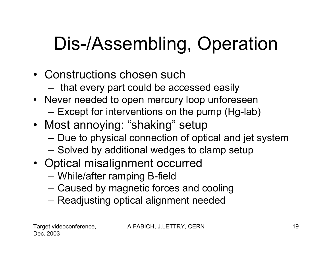# Dis-/Assembling, Operation

- Constructions chosen such
	- – $-$  that every part could be accessed easily
- Never needed to open mercury loop unforeseen –Except for interventions on the pump (Hg-lab)
- Most annoying: "shaking" setup
	- –– Due to physical connection of optical and jet system
	- – $-$  Solved by additional wedges to clamp setup
- Optical misalignment occurred
	- While/after ramping B-field
	- –Caused by magnetic forces and cooling
	- – $-$  Readjusting optical alignment needed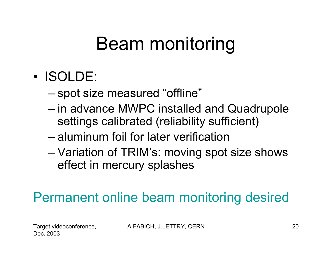# Beam monitoring

- ISOLDE:
	- –– spot size measured "offline"
	- – in advance MWPC installed and Quadrupole settings calibrated (reliability sufficient)
	- aluminum foil for later verification
	- – Variation of TRIM's: moving spot size shows effect in mercury splashes

#### Permanent online beam monitoring desired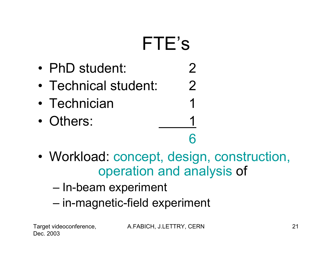# FTE's

- PhD student: 2
- Technical student: 2
- Technician1
- Others: 1

6

- Workload: concept, design, construction, operation and analysis of
	- In-beam experiment

– in-magnetic-field experiment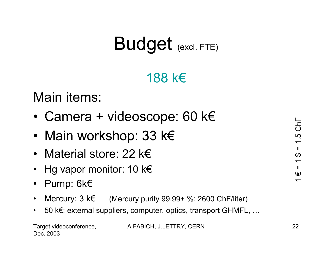# Budget (excl. FTE)

## 188 k€

Main items:

- •Camera + videoscope: 60 k€
- •Main workshop: 33 k€
- Material store: 22 k€
- Hg vapor monitor: 10 k€
- $\bullet$ Pump: 6k€
- •Mercury: 3 k€ (Mercury purity 99.99+ %: 2600 ChF/liter)
- $\bullet$ 50 k€: external suppliers, computer, optics, transport GHMFL, …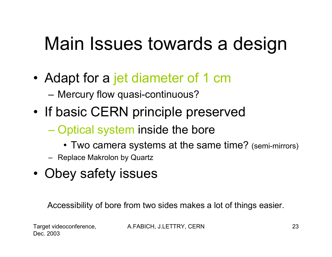# Main Issues towards a design

•• Adapt for a jet diameter of 1 cm

Mercury flow quasi-continuous?

•• If basic CERN principle preserved

– Optical system inside the bore

- Two camera systems at the same time? (semi-mirrors)
- Replace Makrolon by Quartz
- •• Obey safety issues

Accessibility of bore from two sides makes a lot of things easier.